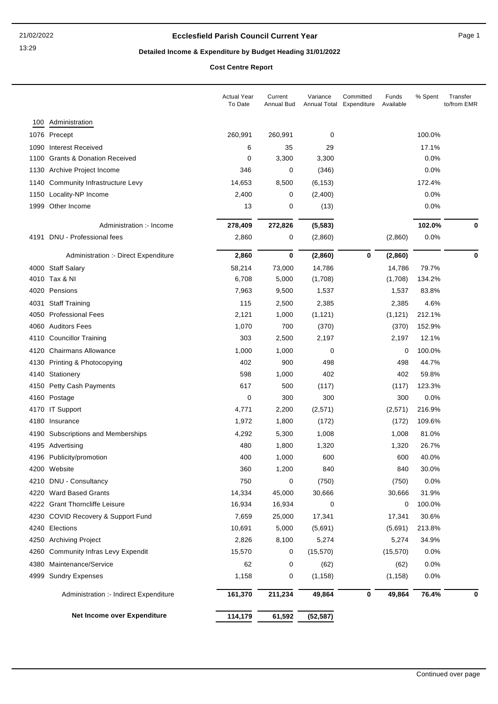## **Ecclesfield Parish Council Current Year** Page 1

# **Detailed Income & Expenditure by Budget Heading 31/01/2022**

**Cost Centre Report**

|      |                                        | <b>Actual Year</b><br>To Date | Current<br>Annual Bud | Variance<br>Annual Total | Committed<br>Expenditure | Funds<br>Available | % Spent | Transfer<br>to/from EMR |
|------|----------------------------------------|-------------------------------|-----------------------|--------------------------|--------------------------|--------------------|---------|-------------------------|
| 100  | Administration                         |                               |                       |                          |                          |                    |         |                         |
|      | 1076 Precept                           | 260,991                       | 260,991               | 0                        |                          |                    | 100.0%  |                         |
| 1090 | <b>Interest Received</b>               | 6                             | 35                    | 29                       |                          |                    | 17.1%   |                         |
| 1100 | <b>Grants &amp; Donation Received</b>  | 0                             | 3,300                 | 3,300                    |                          |                    | 0.0%    |                         |
| 1130 | Archive Project Income                 | 346                           | 0                     | (346)                    |                          |                    | 0.0%    |                         |
| 1140 | Community Infrastructure Levy          | 14,653                        | 8,500                 | (6, 153)                 |                          |                    | 172.4%  |                         |
| 1150 | Locality-NP Income                     | 2,400                         | 0                     | (2,400)                  |                          |                    | 0.0%    |                         |
| 1999 | Other Income                           | 13                            | 0                     | (13)                     |                          |                    | 0.0%    |                         |
|      |                                        |                               |                       |                          |                          |                    |         |                         |
|      | Administration :- Income               | 278,409                       | 272,826               | (5, 583)                 |                          |                    | 102.0%  | 0                       |
| 4191 | DNU - Professional fees                | 2,860                         | 0                     | (2,860)                  |                          | (2,860)            | 0.0%    |                         |
|      | Administration :- Direct Expenditure   | 2,860                         | 0                     | (2,860)                  | 0                        | (2,860)            |         | 0                       |
|      | 4000 Staff Salary                      | 58,214                        | 73,000                | 14,786                   |                          | 14,786             | 79.7%   |                         |
|      | 4010 Tax & NI                          | 6,708                         | 5,000                 | (1,708)                  |                          | (1,708)            | 134.2%  |                         |
| 4020 | Pensions                               | 7,963                         | 9,500                 | 1,537                    |                          | 1,537              | 83.8%   |                         |
| 4031 | <b>Staff Training</b>                  | 115                           | 2,500                 | 2,385                    |                          | 2,385              | 4.6%    |                         |
| 4050 | <b>Professional Fees</b>               | 2,121                         | 1,000                 | (1, 121)                 |                          | (1, 121)           | 212.1%  |                         |
| 4060 | <b>Auditors Fees</b>                   | 1,070                         | 700                   | (370)                    |                          | (370)              | 152.9%  |                         |
| 4110 | <b>Councillor Training</b>             | 303                           | 2,500                 | 2,197                    |                          | 2,197              | 12.1%   |                         |
| 4120 | <b>Chairmans Allowance</b>             | 1,000                         | 1,000                 | 0                        |                          | 0                  | 100.0%  |                         |
| 4130 | Printing & Photocopying                | 402                           | 900                   | 498                      |                          | 498                | 44.7%   |                         |
| 4140 | Stationery                             | 598                           | 1,000                 | 402                      |                          | 402                | 59.8%   |                         |
| 4150 | <b>Petty Cash Payments</b>             | 617                           | 500                   | (117)                    |                          | (117)              | 123.3%  |                         |
| 4160 | Postage                                | 0                             | 300                   | 300                      |                          | 300                | 0.0%    |                         |
|      | 4170 IT Support                        | 4,771                         | 2,200                 | (2,571)                  |                          | (2,571)            | 216.9%  |                         |
| 4180 | Insurance                              | 1,972                         | 1,800                 | (172)                    |                          | (172)              | 109.6%  |                         |
|      | 4190 Subscriptions and Memberships     | 4,292                         | 5,300                 | 1,008                    |                          | 1,008              | 81.0%   |                         |
|      | 4195 Advertising                       | 480                           | 1,800                 | 1,320                    |                          | 1,320              | 26.7%   |                         |
|      | 4196 Publicity/promotion               | 400                           | 1,000                 | 600                      |                          | 600                | 40.0%   |                         |
|      | 4200 Website                           | 360                           | 1,200                 | 840                      |                          | 840                | 30.0%   |                         |
|      | 4210 DNU - Consultancy                 | 750                           | 0                     | (750)                    |                          | (750)              | 0.0%    |                         |
| 4220 | <b>Ward Based Grants</b>               | 14,334                        | 45,000                | 30,666                   |                          | 30,666             | 31.9%   |                         |
|      | 4222 Grant Thorncliffe Leisure         | 16,934                        | 16,934                | 0                        |                          | 0                  | 100.0%  |                         |
| 4230 | COVID Recovery & Support Fund          | 7,659                         | 25,000                | 17,341                   |                          | 17,341             | 30.6%   |                         |
|      | 4240 Elections                         | 10,691                        | 5,000                 | (5,691)                  |                          | (5,691)            | 213.8%  |                         |
|      | 4250 Archiving Project                 | 2,826                         | 8,100                 | 5,274                    |                          | 5,274              | 34.9%   |                         |
| 4260 | Community Infras Levy Expendit         | 15,570                        | 0                     | (15, 570)                |                          | (15, 570)          | 0.0%    |                         |
|      | 4380 Maintenance/Service               | 62                            | 0                     | (62)                     |                          | (62)               | 0.0%    |                         |
| 4999 | <b>Sundry Expenses</b>                 | 1,158                         | 0                     | (1, 158)                 |                          | (1, 158)           | 0.0%    |                         |
|      | Administration :- Indirect Expenditure | 161,370                       | 211,234               | 49,864                   | 0                        | 49,864             | 76.4%   | 0                       |
|      | Net Income over Expenditure            | 114,179                       | 61,592                | (52, 587)                |                          |                    |         |                         |
|      |                                        |                               |                       |                          |                          |                    |         |                         |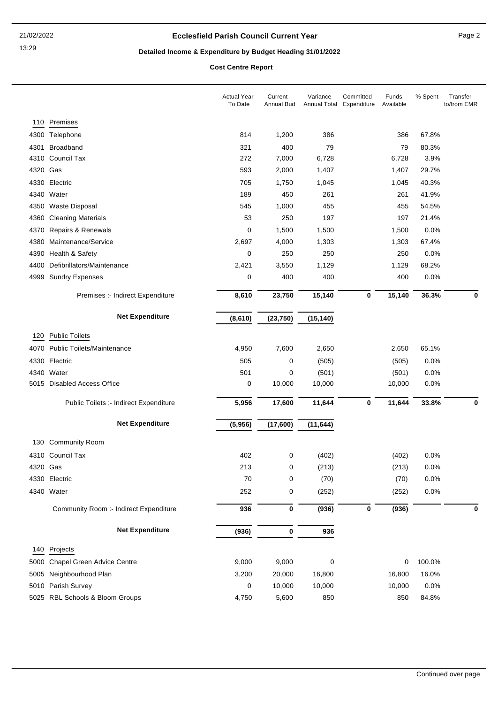## **Ecclesfield Parish Council Current Year** Page 2

# **Detailed Income & Expenditure by Budget Heading 31/01/2022**

**Cost Centre Report**

|          |                                        | <b>Actual Year</b><br>To Date | Current<br><b>Annual Bud</b> | Variance<br>Annual Total | Committed<br>Expenditure | Funds<br>Available | % Spent | Transfer<br>to/from EMR |
|----------|----------------------------------------|-------------------------------|------------------------------|--------------------------|--------------------------|--------------------|---------|-------------------------|
|          | 110 Premises                           |                               |                              |                          |                          |                    |         |                         |
|          | 4300 Telephone                         | 814                           | 1,200                        | 386                      |                          | 386                | 67.8%   |                         |
|          | 4301 Broadband                         | 321                           | 400                          | 79                       |                          | 79                 | 80.3%   |                         |
|          | 4310 Council Tax                       | 272                           | 7,000                        | 6,728                    |                          | 6,728              | 3.9%    |                         |
| 4320 Gas |                                        | 593                           | 2,000                        | 1,407                    |                          | 1,407              | 29.7%   |                         |
|          | 4330 Electric                          | 705                           | 1,750                        | 1,045                    |                          | 1,045              | 40.3%   |                         |
| 4340     | Water                                  | 189                           | 450                          | 261                      |                          | 261                | 41.9%   |                         |
| 4350     | <b>Waste Disposal</b>                  | 545                           | 1,000                        | 455                      |                          | 455                | 54.5%   |                         |
| 4360     | <b>Cleaning Materials</b>              | 53                            | 250                          | 197                      |                          | 197                | 21.4%   |                         |
| 4370     | Repairs & Renewals                     | 0                             | 1,500                        | 1,500                    |                          | 1,500              | 0.0%    |                         |
| 4380     | Maintenance/Service                    | 2,697                         | 4,000                        | 1,303                    |                          | 1,303              | 67.4%   |                         |
| 4390     | Health & Safety                        | 0                             | 250                          | 250                      |                          | 250                | 0.0%    |                         |
| 4400     | Defibrillators/Maintenance             | 2,421                         | 3,550                        | 1,129                    |                          | 1,129              | 68.2%   |                         |
| 4999     | <b>Sundry Expenses</b>                 | 0                             | 400                          | 400                      |                          | 400                | 0.0%    |                         |
|          | Premises :- Indirect Expenditure       | 8,610                         | 23,750                       | 15,140                   | $\bf{0}$                 | 15,140             | 36.3%   | 0                       |
|          | <b>Net Expenditure</b>                 | (8,610)                       | (23, 750)                    | (15, 140)                |                          |                    |         |                         |
|          |                                        |                               |                              |                          |                          |                    |         |                         |
| 120      | <b>Public Toilets</b>                  |                               |                              |                          |                          |                    |         |                         |
| 4070     | <b>Public Toilets/Maintenance</b>      | 4,950                         | 7,600                        | 2,650                    |                          | 2,650              | 65.1%   |                         |
| 4330     | Electric                               | 505                           | 0                            | (505)                    |                          | (505)              | 0.0%    |                         |
|          | 4340 Water                             | 501                           | 0                            | (501)                    |                          | (501)              | 0.0%    |                         |
|          | 5015 Disabled Access Office            | 0                             | 10,000                       | 10,000                   |                          | 10,000             | 0.0%    |                         |
|          | Public Toilets :- Indirect Expenditure | 5,956                         | 17,600                       | 11,644                   | $\bf{0}$                 | 11,644             | 33.8%   | $\mathbf 0$             |
|          | <b>Net Expenditure</b>                 | (5,956)                       | (17,600)                     | (11, 644)                |                          |                    |         |                         |
| 130      | <b>Community Room</b>                  |                               |                              |                          |                          |                    |         |                         |
|          | 4310 Council Tax                       | 402                           | 0                            | (402)                    |                          | (402)              | 0.0%    |                         |
| 4320 Gas |                                        | 213                           | 0                            | (213)                    |                          | (213)              | 0.0%    |                         |
|          | 4330 Electric                          | 70                            | 0                            | (70)                     |                          | (70)               | 0.0%    |                         |
|          | 4340 Water                             | 252                           | $\pmb{0}$                    | (252)                    |                          | (252)              | 0.0%    |                         |
|          | Community Room :- Indirect Expenditure | 936                           | $\pmb{0}$                    | (936)                    | $\pmb{0}$                | (936)              |         | $\mathbf 0$             |
|          | <b>Net Expenditure</b>                 | (936)                         | 0                            | 936                      |                          |                    |         |                         |
|          |                                        |                               |                              |                          |                          |                    |         |                         |
|          | 140 Projects                           |                               |                              |                          |                          |                    |         |                         |
|          | 5000 Chapel Green Advice Centre        | 9,000                         | 9,000                        | $\pmb{0}$                |                          | $\mathbf 0$        | 100.0%  |                         |
|          | 5005 Neighbourhood Plan                | 3,200                         | 20,000                       | 16,800                   |                          | 16,800             | 16.0%   |                         |
|          | 5010 Parish Survey                     | 0                             | 10,000                       | 10,000                   |                          | 10,000             | 0.0%    |                         |
|          | 5025 RBL Schools & Bloom Groups        | 4,750                         | 5,600                        | 850                      |                          | 850                | 84.8%   |                         |